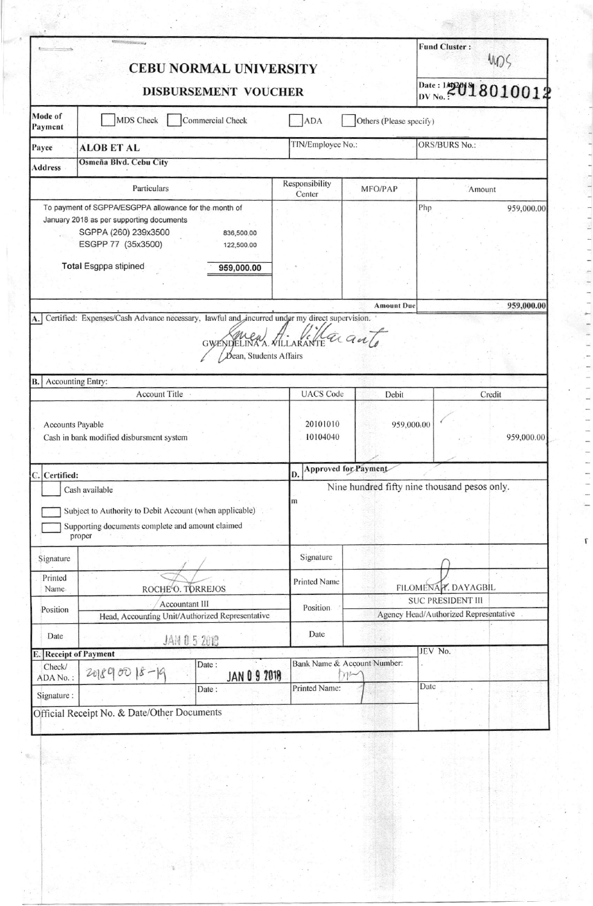| <b>DISBURSEMENT VOUCHER</b><br>Mode of<br>MDS Check<br>Commercial Check<br>Others (Please specify)<br>ADA<br>Payment<br>TIN/Employee No.:<br><b>ORS/BURS No.:</b><br>Payee<br><b>ALOB ET AL</b><br>Osmeña Blvd. Cebu City<br><b>Address</b><br>Responsibility<br>Particulars<br>MFO/PAP<br>Amount<br>Center<br>To payment of SGPPA/ESGPPA allowance for the month of<br>Php<br>January 2018 as per supporting documents<br>SGPPA (260) 239x3500<br>836,500.00<br>ESGPP 77 (35x3500)<br>122,500.00<br><b>Total Esgppa stipined</b><br>959,000.00<br><b>Amount Due</b><br>Certified: Expenses/Cash Advance necessary, lawful and incurred under my direct supervision.<br>A.<br>$a$ anto<br>ARANTE<br>GWENDELINA A. VILI<br>Dean, Students Affairs<br>Accounting Entry:<br>B.<br><b>UACS</b> Code<br><b>Account Title</b><br>Debit<br>Credit<br>20101010<br>Accounts Payable<br>959,000.00<br>10104040<br>Cash in bank modified disbursment system<br>Approved for Payment<br>D.<br>C. Certified:<br>Nine hundred fifty nine thousand pesos only.<br>Cash available<br>m<br>Subject to Authority to Debit Account (when applicable)<br>Supporting documents complete and amount claimed<br>proper<br>Signature<br>Signature<br>Printed<br><b>Printed Name</b><br>FILOMENA T. DAYAGBIL<br>ROCHE <sup>L</sup> O. TORREJOS<br>Name.<br><b>SUC PRESIDENT III</b><br><b>Accountant III</b><br>Position.<br>Position<br>Agency Head/Authorized Representative<br>Head, Accounting Unit/Authorized Representative<br>Date<br>Date<br><b>JAN 0 5 2018</b><br>JEV No.<br>E. Receipt of Payment<br>Bank Name & Account Number:<br>Date:<br>Check/<br>$201890018 - 19$<br><b>JAN 0 9 7018</b><br>m<br>ADA No.:<br>Date<br>Printed Name:<br>Date:<br>Signature : | <b>CEBU NORMAL UNIVERSITY</b> | <b>Fund Cluster:</b><br>405 |                    |  |  |  |
|----------------------------------------------------------------------------------------------------------------------------------------------------------------------------------------------------------------------------------------------------------------------------------------------------------------------------------------------------------------------------------------------------------------------------------------------------------------------------------------------------------------------------------------------------------------------------------------------------------------------------------------------------------------------------------------------------------------------------------------------------------------------------------------------------------------------------------------------------------------------------------------------------------------------------------------------------------------------------------------------------------------------------------------------------------------------------------------------------------------------------------------------------------------------------------------------------------------------------------------------------------------------------------------------------------------------------------------------------------------------------------------------------------------------------------------------------------------------------------------------------------------------------------------------------------------------------------------------------------------------------------------------------------------------------------------------------------------------------------------------------|-------------------------------|-----------------------------|--------------------|--|--|--|
|                                                                                                                                                                                                                                                                                                                                                                                                                                                                                                                                                                                                                                                                                                                                                                                                                                                                                                                                                                                                                                                                                                                                                                                                                                                                                                                                                                                                                                                                                                                                                                                                                                                                                                                                                    |                               |                             | Date: 142018010012 |  |  |  |
|                                                                                                                                                                                                                                                                                                                                                                                                                                                                                                                                                                                                                                                                                                                                                                                                                                                                                                                                                                                                                                                                                                                                                                                                                                                                                                                                                                                                                                                                                                                                                                                                                                                                                                                                                    |                               |                             |                    |  |  |  |
|                                                                                                                                                                                                                                                                                                                                                                                                                                                                                                                                                                                                                                                                                                                                                                                                                                                                                                                                                                                                                                                                                                                                                                                                                                                                                                                                                                                                                                                                                                                                                                                                                                                                                                                                                    |                               |                             |                    |  |  |  |
|                                                                                                                                                                                                                                                                                                                                                                                                                                                                                                                                                                                                                                                                                                                                                                                                                                                                                                                                                                                                                                                                                                                                                                                                                                                                                                                                                                                                                                                                                                                                                                                                                                                                                                                                                    |                               |                             |                    |  |  |  |
|                                                                                                                                                                                                                                                                                                                                                                                                                                                                                                                                                                                                                                                                                                                                                                                                                                                                                                                                                                                                                                                                                                                                                                                                                                                                                                                                                                                                                                                                                                                                                                                                                                                                                                                                                    |                               |                             |                    |  |  |  |
|                                                                                                                                                                                                                                                                                                                                                                                                                                                                                                                                                                                                                                                                                                                                                                                                                                                                                                                                                                                                                                                                                                                                                                                                                                                                                                                                                                                                                                                                                                                                                                                                                                                                                                                                                    |                               |                             | 959,000.00         |  |  |  |
|                                                                                                                                                                                                                                                                                                                                                                                                                                                                                                                                                                                                                                                                                                                                                                                                                                                                                                                                                                                                                                                                                                                                                                                                                                                                                                                                                                                                                                                                                                                                                                                                                                                                                                                                                    |                               |                             | 959,000.00         |  |  |  |
|                                                                                                                                                                                                                                                                                                                                                                                                                                                                                                                                                                                                                                                                                                                                                                                                                                                                                                                                                                                                                                                                                                                                                                                                                                                                                                                                                                                                                                                                                                                                                                                                                                                                                                                                                    |                               |                             |                    |  |  |  |
|                                                                                                                                                                                                                                                                                                                                                                                                                                                                                                                                                                                                                                                                                                                                                                                                                                                                                                                                                                                                                                                                                                                                                                                                                                                                                                                                                                                                                                                                                                                                                                                                                                                                                                                                                    |                               |                             |                    |  |  |  |
|                                                                                                                                                                                                                                                                                                                                                                                                                                                                                                                                                                                                                                                                                                                                                                                                                                                                                                                                                                                                                                                                                                                                                                                                                                                                                                                                                                                                                                                                                                                                                                                                                                                                                                                                                    |                               |                             | 959,000.00         |  |  |  |
|                                                                                                                                                                                                                                                                                                                                                                                                                                                                                                                                                                                                                                                                                                                                                                                                                                                                                                                                                                                                                                                                                                                                                                                                                                                                                                                                                                                                                                                                                                                                                                                                                                                                                                                                                    |                               |                             |                    |  |  |  |
|                                                                                                                                                                                                                                                                                                                                                                                                                                                                                                                                                                                                                                                                                                                                                                                                                                                                                                                                                                                                                                                                                                                                                                                                                                                                                                                                                                                                                                                                                                                                                                                                                                                                                                                                                    |                               |                             |                    |  |  |  |
|                                                                                                                                                                                                                                                                                                                                                                                                                                                                                                                                                                                                                                                                                                                                                                                                                                                                                                                                                                                                                                                                                                                                                                                                                                                                                                                                                                                                                                                                                                                                                                                                                                                                                                                                                    |                               |                             |                    |  |  |  |
|                                                                                                                                                                                                                                                                                                                                                                                                                                                                                                                                                                                                                                                                                                                                                                                                                                                                                                                                                                                                                                                                                                                                                                                                                                                                                                                                                                                                                                                                                                                                                                                                                                                                                                                                                    |                               |                             |                    |  |  |  |
|                                                                                                                                                                                                                                                                                                                                                                                                                                                                                                                                                                                                                                                                                                                                                                                                                                                                                                                                                                                                                                                                                                                                                                                                                                                                                                                                                                                                                                                                                                                                                                                                                                                                                                                                                    |                               |                             |                    |  |  |  |
|                                                                                                                                                                                                                                                                                                                                                                                                                                                                                                                                                                                                                                                                                                                                                                                                                                                                                                                                                                                                                                                                                                                                                                                                                                                                                                                                                                                                                                                                                                                                                                                                                                                                                                                                                    |                               |                             |                    |  |  |  |
|                                                                                                                                                                                                                                                                                                                                                                                                                                                                                                                                                                                                                                                                                                                                                                                                                                                                                                                                                                                                                                                                                                                                                                                                                                                                                                                                                                                                                                                                                                                                                                                                                                                                                                                                                    |                               |                             |                    |  |  |  |

 $\mathfrak{r}$